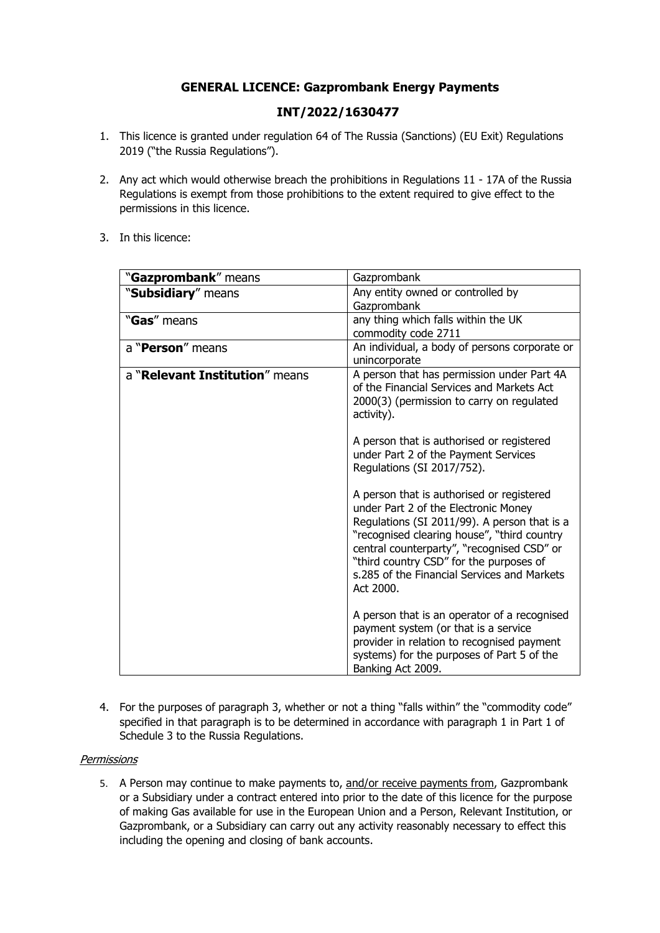# **GENERAL LICENCE: Gazprombank Energy Payments**

## **INT/2022/1630477**

- 1. This licence is granted under regulation 64 of The Russia (Sanctions) (EU Exit) Regulations 2019 ("the Russia Regulations").
- 2. Any act which would otherwise breach the prohibitions in Regulations 11 17A of the Russia Regulations is exempt from those prohibitions to the extent required to give effect to the permissions in this licence.
- 3. In this licence:

| "Gazprombank" means            | Gazprombank                                                                                                                                                                                                                                                                                                                           |
|--------------------------------|---------------------------------------------------------------------------------------------------------------------------------------------------------------------------------------------------------------------------------------------------------------------------------------------------------------------------------------|
| "Subsidiary" means             | Any entity owned or controlled by<br>Gazprombank                                                                                                                                                                                                                                                                                      |
| "Gas" means                    | any thing which falls within the UK<br>commodity code 2711                                                                                                                                                                                                                                                                            |
| a "Person" means               | An individual, a body of persons corporate or<br>unincorporate                                                                                                                                                                                                                                                                        |
| a "Relevant Institution" means | A person that has permission under Part 4A<br>of the Financial Services and Markets Act<br>2000(3) (permission to carry on regulated<br>activity).                                                                                                                                                                                    |
|                                | A person that is authorised or registered<br>under Part 2 of the Payment Services<br>Regulations (SI 2017/752).                                                                                                                                                                                                                       |
|                                | A person that is authorised or registered<br>under Part 2 of the Electronic Money<br>Regulations (SI 2011/99). A person that is a<br>"recognised clearing house", "third country<br>central counterparty", "recognised CSD" or<br>"third country CSD" for the purposes of<br>s.285 of the Financial Services and Markets<br>Act 2000. |
|                                | A person that is an operator of a recognised<br>payment system (or that is a service<br>provider in relation to recognised payment<br>systems) for the purposes of Part 5 of the<br>Banking Act 2009.                                                                                                                                 |

4. For the purposes of paragraph 3, whether or not a thing "falls within" the "commodity code" specified in that paragraph is to be determined in accordance with paragraph 1 in Part 1 of Schedule 3 to the Russia Regulations.

#### **Permissions**

5. A Person may continue to make payments to, and/or receive payments from, Gazprombank or a Subsidiary under a contract entered into prior to the date of this licence for the purpose of making Gas available for use in the European Union and a Person, Relevant Institution, or Gazprombank, or a Subsidiary can carry out any activity reasonably necessary to effect this including the opening and closing of bank accounts.